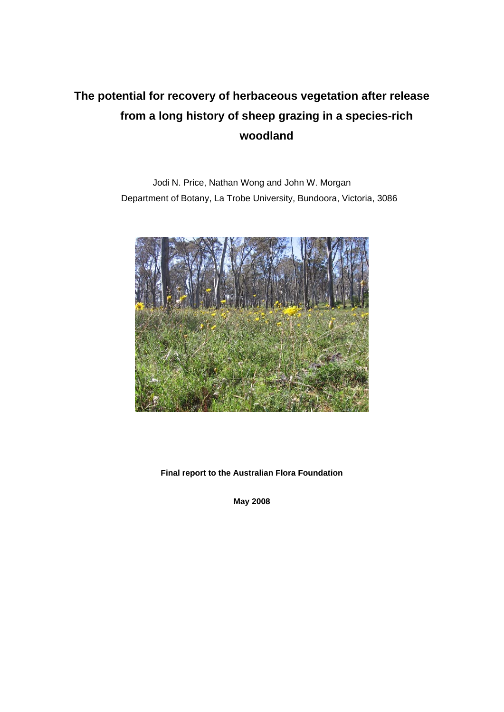# **The potential for recovery of herbaceous vegetation after release from a long history of sheep grazing in a species-rich woodland**

Jodi N. Price, Nathan Wong and John W. Morgan Department of Botany, La Trobe University, Bundoora, Victoria, 3086



**Final report to the Australian Flora Foundation** 

**May 2008**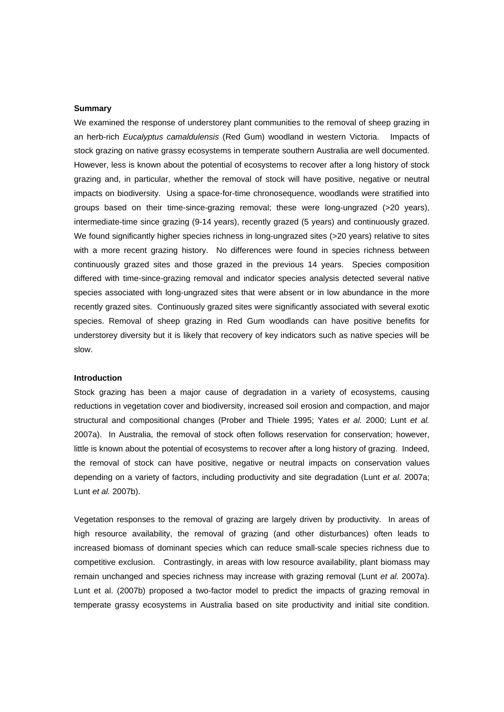#### **Summary**

We examined the response of understorey plant communities to the removal of sheep grazing in an herb-rich *Eucalyptus camaldulensis* (Red Gum) woodland in western Victoria. Impacts of stock grazing on native grassy ecosystems in temperate southern Australia are well documented. However, less is known about the potential of ecosystems to recover after a long history of stock grazing and, in particular, whether the removal of stock will have positive, negative or neutral impacts on biodiversity. Using a space-for-time chronosequence, woodlands were stratified into groups based on their time-since-grazing removal; these were long-ungrazed (>20 years), intermediate-time since grazing (9-14 years), recently grazed (5 years) and continuously grazed. We found significantly higher species richness in long-ungrazed sites (>20 years) relative to sites with a more recent grazing history. No differences were found in species richness between continuously grazed sites and those grazed in the previous 14 years. Species composition differed with time-since-grazing removal and indicator species analysis detected several native species associated with long-ungrazed sites that were absent or in low abundance in the more recently grazed sites. Continuously grazed sites were significantly associated with several exotic species. Removal of sheep grazing in Red Gum woodlands can have positive benefits for understorey diversity but it is likely that recovery of key indicators such as native species will be slow.

#### **Introduction**

Stock grazing has been a major cause of degradation in a variety of ecosystems, causing reductions in vegetation cover and biodiversity, increased soil erosion and compaction, and major structural and compositional changes (Prober and Thiele 1995; Yates *et al.* 2000; Lunt *et al.* 2007a). In Australia, the removal of stock often follows reservation for conservation; however, little is known about the potential of ecosystems to recover after a long history of grazing. Indeed, the removal of stock can have positive, negative or neutral impacts on conservation values depending on a variety of factors, including productivity and site degradation (Lunt *et al.* 2007a; Lunt *et al.* 2007b).

Vegetation responses to the removal of grazing are largely driven by productivity. In areas of high resource availability, the removal of grazing (and other disturbances) often leads to increased biomass of dominant species which can reduce small-scale species richness due to competitive exclusion. Contrastingly, in areas with low resource availability, plant biomass may remain unchanged and species richness may increase with grazing removal (Lunt *et al.* 2007a). Lunt et al. (2007b) proposed a two-factor model to predict the impacts of grazing removal in temperate grassy ecosystems in Australia based on site productivity and initial site condition.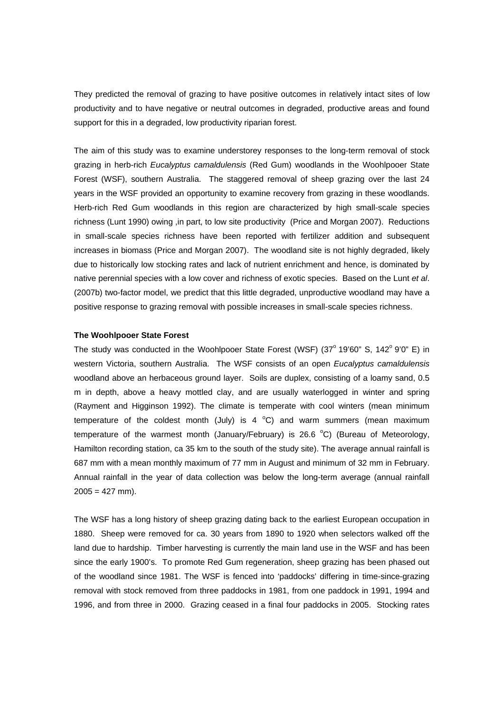They predicted the removal of grazing to have positive outcomes in relatively intact sites of low productivity and to have negative or neutral outcomes in degraded, productive areas and found support for this in a degraded, low productivity riparian forest.

The aim of this study was to examine understorey responses to the long-term removal of stock grazing in herb-rich *Eucalyptus camaldulensis* (Red Gum) woodlands in the Woohlpooer State Forest (WSF), southern Australia. The staggered removal of sheep grazing over the last 24 years in the WSF provided an opportunity to examine recovery from grazing in these woodlands. Herb-rich Red Gum woodlands in this region are characterized by high small-scale species richness (Lunt 1990) owing ,in part, to low site productivity (Price and Morgan 2007). Reductions in small-scale species richness have been reported with fertilizer addition and subsequent increases in biomass (Price and Morgan 2007). The woodland site is not highly degraded, likely due to historically low stocking rates and lack of nutrient enrichment and hence, is dominated by native perennial species with a low cover and richness of exotic species. Based on the Lunt *et al*. (2007b) two-factor model, we predict that this little degraded, unproductive woodland may have a positive response to grazing removal with possible increases in small-scale species richness.

### **The Woohlpooer State Forest**

The study was conducted in the Woohlpooer State Forest (WSF)  $(37^{\circ} 19'60'' S, 142^{\circ} 9'0'' E)$  in western Victoria, southern Australia. The WSF consists of an open *Eucalyptus camaldulensis* woodland above an herbaceous ground layer. Soils are duplex, consisting of a loamy sand, 0.5 m in depth, above a heavy mottled clay, and are usually waterlogged in winter and spring (Rayment and Higginson 1992). The climate is temperate with cool winters (mean minimum temperature of the coldest month (July) is 4  $^{\circ}$ C) and warm summers (mean maximum temperature of the warmest month (January/February) is 26.6  $^{\circ}$ C) (Bureau of Meteorology, Hamilton recording station, ca 35 km to the south of the study site). The average annual rainfall is 687 mm with a mean monthly maximum of 77 mm in August and minimum of 32 mm in February. Annual rainfall in the year of data collection was below the long-term average (annual rainfall  $2005 = 427$  mm).

The WSF has a long history of sheep grazing dating back to the earliest European occupation in 1880. Sheep were removed for ca. 30 years from 1890 to 1920 when selectors walked off the land due to hardship. Timber harvesting is currently the main land use in the WSF and has been since the early 1900's. To promote Red Gum regeneration, sheep grazing has been phased out of the woodland since 1981. The WSF is fenced into 'paddocks' differing in time-since-grazing removal with stock removed from three paddocks in 1981, from one paddock in 1991, 1994 and 1996, and from three in 2000. Grazing ceased in a final four paddocks in 2005. Stocking rates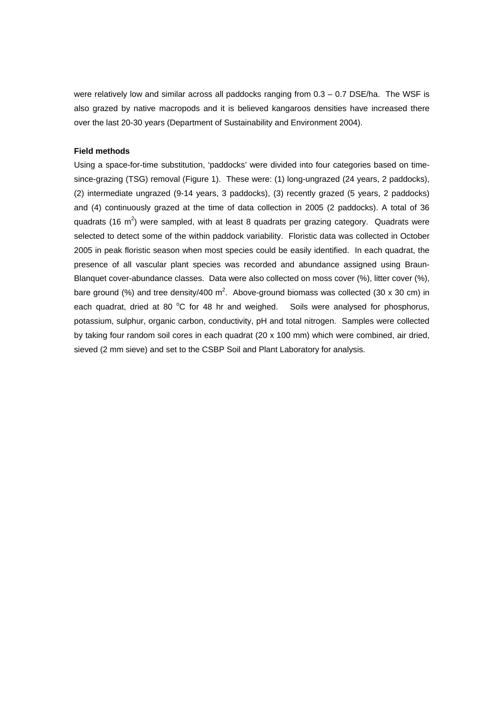were relatively low and similar across all paddocks ranging from 0.3 - 0.7 DSE/ha. The WSF is also grazed by native macropods and it is believed kangaroos densities have increased there over the last 20-30 years (Department of Sustainability and Environment 2004).

### **Field methods**

Using a space-for-time substitution, 'paddocks' were divided into four categories based on timesince-grazing (TSG) removal (Figure 1). These were: (1) long-ungrazed (24 years, 2 paddocks), (2) intermediate ungrazed (9-14 years, 3 paddocks), (3) recently grazed (5 years, 2 paddocks) and (4) continuously grazed at the time of data collection in 2005 (2 paddocks). A total of 36 quadrats (16 m<sup>2</sup>) were sampled, with at least 8 quadrats per grazing category. Quadrats were selected to detect some of the within paddock variability. Floristic data was collected in October 2005 in peak floristic season when most species could be easily identified. In each quadrat, the presence of all vascular plant species was recorded and abundance assigned using Braun-Blanquet cover-abundance classes. Data were also collected on moss cover (%), litter cover (%), bare ground (%) and tree density/400 m<sup>2</sup>. Above-ground biomass was collected (30 x 30 cm) in each quadrat, dried at 80 °C for 48 hr and weighed. Soils were analysed for phosphorus, potassium, sulphur, organic carbon, conductivity, pH and total nitrogen. Samples were collected by taking four random soil cores in each quadrat (20 x 100 mm) which were combined, air dried, sieved (2 mm sieve) and set to the CSBP Soil and Plant Laboratory for analysis.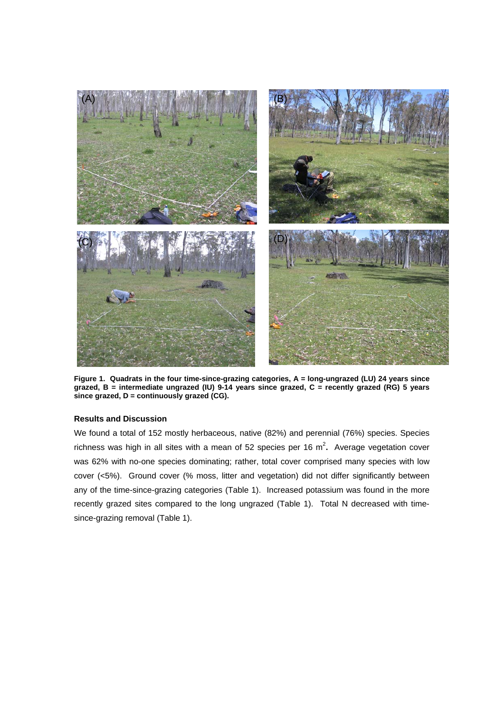

**Figure 1. Quadrats in the four time-since-grazing categories, A = long-ungrazed (LU) 24 years since grazed, B = intermediate ungrazed (IU) 9-14 years since grazed, C = recently grazed (RG) 5 years since grazed, D = continuously grazed (CG).** 

## **Results and Discussion**

We found a total of 152 mostly herbaceous, native (82%) and perennial (76%) species. Species richness was high in all sites with a mean of 52 species per 16 m<sup>2</sup>. Average vegetation cover was 62% with no-one species dominating; rather, total cover comprised many species with low cover (<5%). Ground cover (% moss, litter and vegetation) did not differ significantly between any of the time-since-grazing categories (Table 1). Increased potassium was found in the more recently grazed sites compared to the long ungrazed (Table 1). Total N decreased with timesince-grazing removal (Table 1).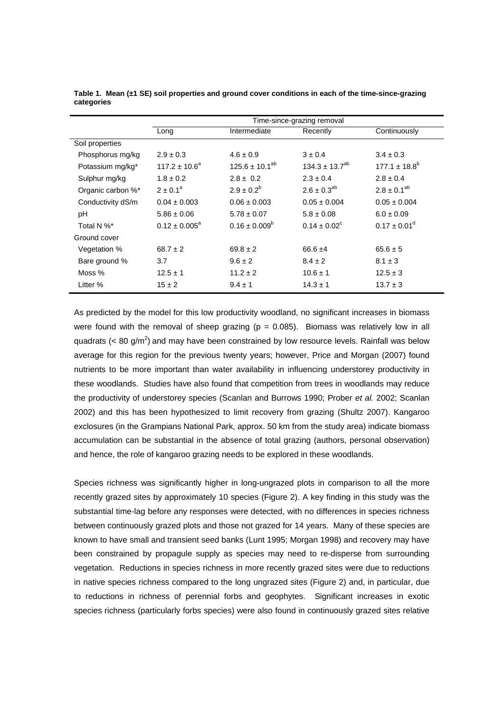|                   | Time-since-grazing removal |                          |                         |                         |  |  |  |
|-------------------|----------------------------|--------------------------|-------------------------|-------------------------|--|--|--|
|                   | Long                       | Intermediate             | Recently                | Continuously            |  |  |  |
| Soil properties   |                            |                          |                         |                         |  |  |  |
| Phosphorus mg/kg  | $2.9 \pm 0.3$              | $4.6 \pm 0.9$            | $3 \pm 0.4$             | $3.4 \pm 0.3$           |  |  |  |
| Potassium mg/kg*  | $117.2 \pm 10.6^a$         | $125.6 \pm 10.1^{ab}$    | $134.3 \pm 13.7^{ab}$   | $177.1 \pm 18.8^b$      |  |  |  |
| Sulphur mg/kg     | $1.8 \pm 0.2$              | $2.8 \pm 0.2$            | $2.3 \pm 0.4$           | $2.8 \pm 0.4$           |  |  |  |
| Organic carbon %* | $2 \pm 0.1^a$              | $2.9 \pm 0.2^b$          | $2.6 \pm 0.3^{ab}$      | $2.8 \pm 0.1^{ab}$      |  |  |  |
| Conductivity dS/m | $0.04 \pm 0.003$           | $0.06 \pm 0.003$         | $0.05 \pm 0.004$        | $0.05 \pm 0.004$        |  |  |  |
| рH                | $5.86 \pm 0.06$            | $5.78 \pm 0.07$          | $5.8 \pm 0.08$          | $6.0 \pm 0.09$          |  |  |  |
| Total N %*        | $0.12 \pm 0.005^a$         | $0.16 \pm 0.009^{\circ}$ | $0.14 \pm 0.02^{\circ}$ | $0.17 \pm 0.01^{\circ}$ |  |  |  |
| Ground cover      |                            |                          |                         |                         |  |  |  |
| Vegetation %      | $68.7 \pm 2$               | $69.8 \pm 2$             | $66.6 \pm 4$            | $65.6 \pm 5$            |  |  |  |
| Bare ground %     | 3.7                        | $9.6 \pm 2$              | $8.4 \pm 2$             | $8.1 \pm 3$             |  |  |  |
| Moss %            | $12.5 \pm 1$               | $11.2 \pm 2$             | $10.6 \pm 1$            | $12.5 \pm 3$            |  |  |  |
| Litter %          | $15 \pm 2$                 | $9.4 \pm 1$              | $14.3 \pm 1$            | $13.7 \pm 3$            |  |  |  |

**Table 1. Mean (±1 SE) soil properties and ground cover conditions in each of the time-since-grazing categories** 

As predicted by the model for this low productivity woodland, no significant increases in biomass were found with the removal of sheep grazing ( $p = 0.085$ ). Biomass was relatively low in all quadrats (< 80 g/m<sup>2</sup>) and may have been constrained by low resource levels. Rainfall was below average for this region for the previous twenty years; however, Price and Morgan (2007) found nutrients to be more important than water availability in influencing understorey productivity in these woodlands. Studies have also found that competition from trees in woodlands may reduce the productivity of understorey species (Scanlan and Burrows 1990; Prober *et al.* 2002; Scanlan 2002) and this has been hypothesized to limit recovery from grazing (Shultz 2007). Kangaroo exclosures (in the Grampians National Park, approx. 50 km from the study area) indicate biomass accumulation can be substantial in the absence of total grazing (authors, personal observation) and hence, the role of kangaroo grazing needs to be explored in these woodlands.

Species richness was significantly higher in long-ungrazed plots in comparison to all the more recently grazed sites by approximately 10 species (Figure 2). A key finding in this study was the substantial time-lag before any responses were detected, with no differences in species richness between continuously grazed plots and those not grazed for 14 years. Many of these species are known to have small and transient seed banks (Lunt 1995; Morgan 1998) and recovery may have been constrained by propagule supply as species may need to re-disperse from surrounding vegetation. Reductions in species richness in more recently grazed sites were due to reductions in native species richness compared to the long ungrazed sites (Figure 2) and, in particular, due to reductions in richness of perennial forbs and geophytes. Significant increases in exotic species richness (particularly forbs species) were also found in continuously grazed sites relative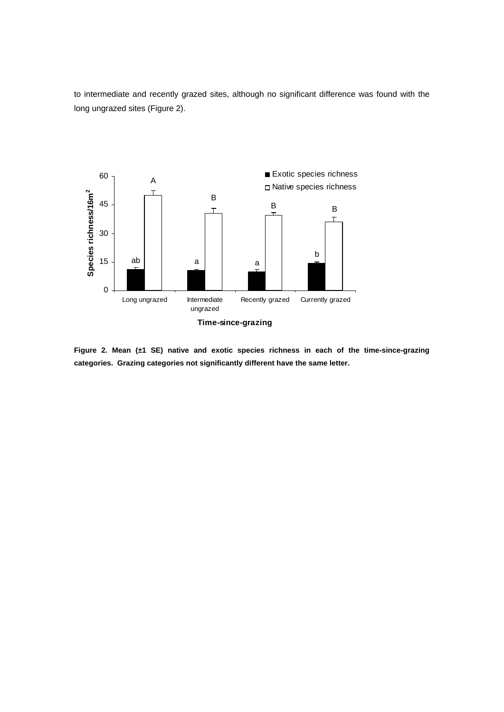to intermediate and recently grazed sites, although no significant difference was found with the long ungrazed sites (Figure 2).



**Figure 2. Mean (±1 SE) native and exotic species richness in each of the time-since-grazing categories. Grazing categories not significantly different have the same letter.**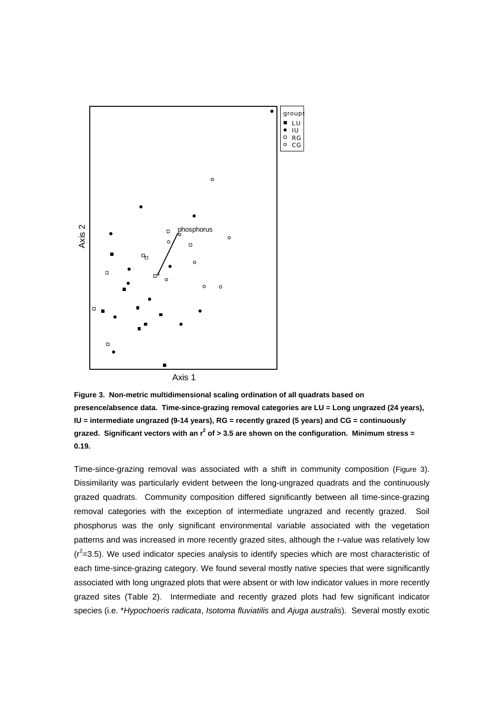

**Figure 3. Non-metric multidimensional scaling ordination of all quadrats based on presence/absence data. Time-since-grazing removal categories are LU = Long ungrazed (24 years), IU = intermediate ungrazed (9-14 years), RG = recently grazed (5 years) and CG = continuously**  grazed. Significant vectors with an r<sup>2</sup> of > 3.5 are shown on the configuration. Minimum stress = **0.19.** 

Time-since-grazing removal was associated with a shift in community composition (Figure 3). Dissimilarity was particularly evident between the long-ungrazed quadrats and the continuously grazed quadrats. Community composition differed significantly between all time-since-grazing removal categories with the exception of intermediate ungrazed and recently grazed. Soil phosphorus was the only significant environmental variable associated with the vegetation patterns and was increased in more recently grazed sites, although the r-value was relatively low  $(r^2=3.5)$ . We used indicator species analysis to identify species which are most characteristic of each time-since-grazing category. We found several mostly native species that were significantly associated with long ungrazed plots that were absent or with low indicator values in more recently grazed sites (Table 2). Intermediate and recently grazed plots had few significant indicator species (i.e. \**Hypochoeris radicata*, *Isotoma fluviatilis* and *Ajuga australis*). Several mostly exotic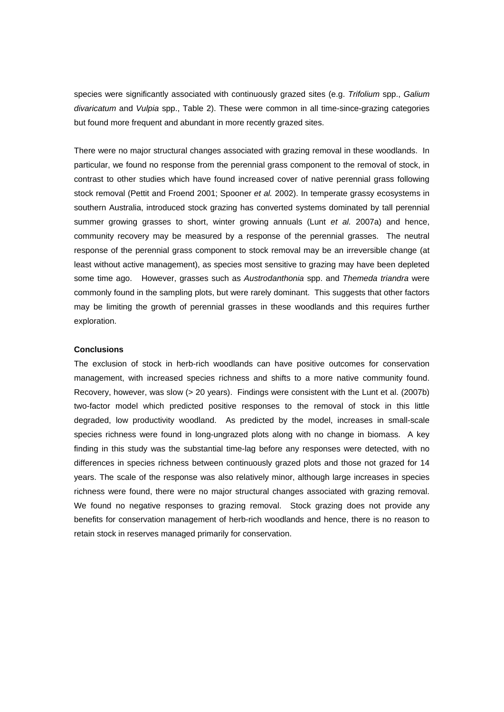species were significantly associated with continuously grazed sites (e.g. *Trifolium* spp., *Galium divaricatum* and *Vulpia* spp., Table 2). These were common in all time-since-grazing categories but found more frequent and abundant in more recently grazed sites.

There were no major structural changes associated with grazing removal in these woodlands. In particular, we found no response from the perennial grass component to the removal of stock, in contrast to other studies which have found increased cover of native perennial grass following stock removal (Pettit and Froend 2001; Spooner *et al.* 2002). In temperate grassy ecosystems in southern Australia, introduced stock grazing has converted systems dominated by tall perennial summer growing grasses to short, winter growing annuals (Lunt *et al.* 2007a) and hence, community recovery may be measured by a response of the perennial grasses. The neutral response of the perennial grass component to stock removal may be an irreversible change (at least without active management), as species most sensitive to grazing may have been depleted some time ago. However, grasses such as *Austrodanthonia* spp. and *Themeda triandra* were commonly found in the sampling plots, but were rarely dominant. This suggests that other factors may be limiting the growth of perennial grasses in these woodlands and this requires further exploration.

## **Conclusions**

The exclusion of stock in herb-rich woodlands can have positive outcomes for conservation management, with increased species richness and shifts to a more native community found. Recovery, however, was slow (> 20 years). Findings were consistent with the Lunt et al. (2007b) two-factor model which predicted positive responses to the removal of stock in this little degraded, low productivity woodland. As predicted by the model, increases in small-scale species richness were found in long-ungrazed plots along with no change in biomass. A key finding in this study was the substantial time-lag before any responses were detected, with no differences in species richness between continuously grazed plots and those not grazed for 14 years. The scale of the response was also relatively minor, although large increases in species richness were found, there were no major structural changes associated with grazing removal. We found no negative responses to grazing removal. Stock grazing does not provide any benefits for conservation management of herb-rich woodlands and hence, there is no reason to retain stock in reserves managed primarily for conservation.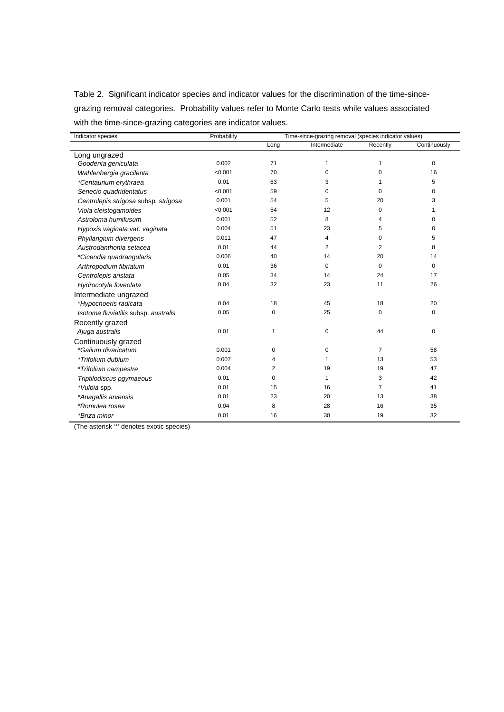Table 2. Significant indicator species and indicator values for the discrimination of the time-sincegrazing removal categories. Probability values refer to Monte Carlo tests while values associated with the time-since-grazing categories are indicator values.

| Indicator species                    | Probability | Time-since-grazing removal (species indicator values) |                |                |              |  |
|--------------------------------------|-------------|-------------------------------------------------------|----------------|----------------|--------------|--|
|                                      |             | Long                                                  | Intermediate   | Recently       | Continuously |  |
| Long ungrazed                        |             |                                                       |                |                |              |  |
| Goodenia geniculata                  | 0.002       | 71                                                    | 1              | 1              | $\mathbf 0$  |  |
| Wahlenbergia gracilenta              | < 0.001     | 70                                                    | 0              | 0              | 16           |  |
| *Centaurium erythraea                | 0.01        | 63                                                    | 3              | 1              | 5            |  |
| Senecio quadridentatus               | < 0.001     | 59                                                    | $\Omega$       | $\Omega$       | 0            |  |
| Centrolepis strigosa subsp. strigosa | 0.001       | 54                                                    | 5              | 20             | 3            |  |
| Viola cleistogamoides                | < 0.001     | 54                                                    | 12             | 0              | 1            |  |
| Astroloma humifusum                  | 0.001       | 52                                                    | 8              | 4              | 0            |  |
| Hypoxis vaginata var. vaginata       | 0.004       | 51                                                    | 23             | 5              | 0            |  |
| Phyllangium divergens                | 0.011       | 47                                                    | 4              | 0              | 5            |  |
| Austrodanthonia setacea              | 0.01        | 44                                                    | $\overline{2}$ | $\overline{2}$ | 8            |  |
| *Cicendia quadrangularis             | 0.006       | 40                                                    | 14             | 20             | 14           |  |
| Arthropodium fibriatum               | 0.01        | 36                                                    | 0              | $\mathbf 0$    | 0            |  |
| Centrolepis aristata                 | 0.05        | 34                                                    | 14             | 24             | 17           |  |
| Hydrocotyle foveolata                | 0.04        | 32                                                    | 23             | 11             | 26           |  |
| Intermediate ungrazed                |             |                                                       |                |                |              |  |
| *Hypochoeris radicata                | 0.04        | 18                                                    | 45             | 18             | 20           |  |
| Isotoma fluviatilis subsp. australis | 0.05        | 0                                                     | 25             | 0              | 0            |  |
| Recently grazed                      |             |                                                       |                |                |              |  |
| Ajuga australis                      | 0.01        | $\mathbf{1}$                                          | $\pmb{0}$      | 44             | 0            |  |
| Continuously grazed                  |             |                                                       |                |                |              |  |
| *Galium divaricatum                  | 0.001       | 0                                                     | 0              | $\overline{7}$ | 58           |  |
| *Trifolium dubium                    | 0.007       | 4                                                     | $\mathbf{1}$   | 13             | 53           |  |
| *Trifolium campestre                 | 0.004       | 2                                                     | 19             | 19             | 47           |  |
| Triptilodiscus pgymaeous             | 0.01        | 0                                                     | $\mathbf{1}$   | 3              | 42           |  |
| *Vulpia spp.                         | 0.01        | 15                                                    | 16             | $\overline{7}$ | 41           |  |
| *Anagallis arvensis                  | 0.01        | 23                                                    | 20             | 13             | 38           |  |
| *Romulea rosea                       | 0.04        | 8                                                     | 28             | 16             | 35           |  |
| *Briza minor                         | 0.01        | 16                                                    | 30             | 19             | 32           |  |

(The asterisk '\*' denotes exotic species)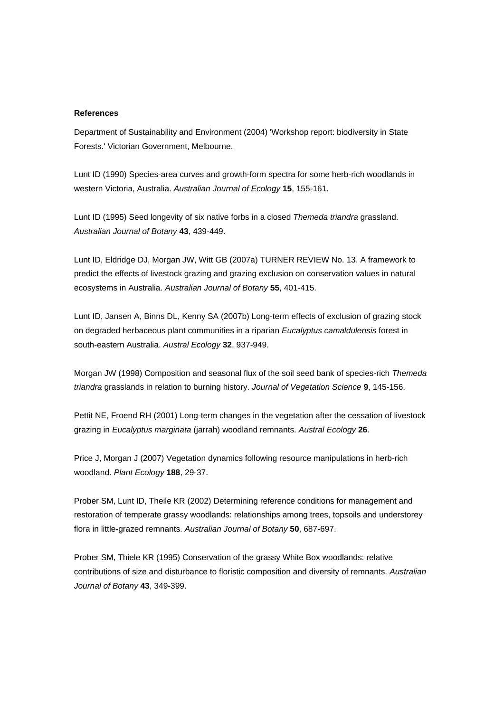#### **References**

Department of Sustainability and Environment (2004) 'Workshop report: biodiversity in State Forests.' Victorian Government, Melbourne.

Lunt ID (1990) Species-area curves and growth-form spectra for some herb-rich woodlands in western Victoria, Australia. *Australian Journal of Ecology* **15**, 155-161.

Lunt ID (1995) Seed longevity of six native forbs in a closed *Themeda triandra* grassland. *Australian Journal of Botany* **43**, 439-449.

Lunt ID, Eldridge DJ, Morgan JW, Witt GB (2007a) TURNER REVIEW No. 13. A framework to predict the effects of livestock grazing and grazing exclusion on conservation values in natural ecosystems in Australia. *Australian Journal of Botany* **55**, 401-415.

Lunt ID, Jansen A, Binns DL, Kenny SA (2007b) Long-term effects of exclusion of grazing stock on degraded herbaceous plant communities in a riparian *Eucalyptus camaldulensis* forest in south-eastern Australia. *Austral Ecology* **32**, 937-949.

Morgan JW (1998) Composition and seasonal flux of the soil seed bank of species-rich *Themeda triandra* grasslands in relation to burning history. *Journal of Vegetation Science* **9**, 145-156.

Pettit NE, Froend RH (2001) Long-term changes in the vegetation after the cessation of livestock grazing in *Eucalyptus marginata* (jarrah) woodland remnants. *Austral Ecology* **26**.

Price J, Morgan J (2007) Vegetation dynamics following resource manipulations in herb-rich woodland. *Plant Ecology* **188**, 29-37.

Prober SM, Lunt ID, Theile KR (2002) Determining reference conditions for management and restoration of temperate grassy woodlands: relationships among trees, topsoils and understorey flora in little-grazed remnants. *Australian Journal of Botany* **50**, 687-697.

Prober SM, Thiele KR (1995) Conservation of the grassy White Box woodlands: relative contributions of size and disturbance to floristic composition and diversity of remnants. *Australian Journal of Botany* **43**, 349-399.